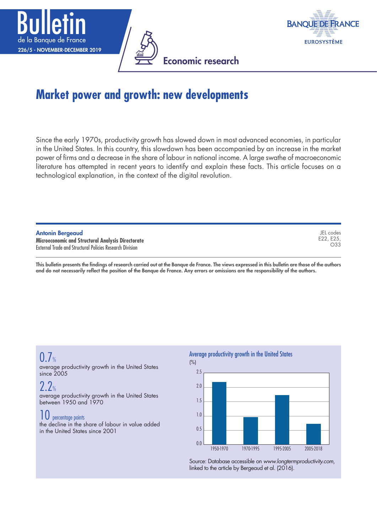





# **Market power and growth: new developments**

Since the early 1970s, productivity growth has slowed down in most advanced economies, in particular in the United States. In this country, this slowdown has been accompanied by an increase in the market power of firms and a decrease in the share of labour in national income. A large swathe of macroeconomic literature has attempted in recent years to identify and explain these facts. This article focuses on a technological explanation, in the context of the digital revolution.

| <b>Antonin Bergeaud</b>                                         | JEL codes |
|-----------------------------------------------------------------|-----------|
| Microeconomic and Structural Analysis Directorate               | E22, E25. |
| <b>External Trade and Structural Policies Research Division</b> | O33       |

This bulletin presents the findings of research carried out at the Banque de France. The views expressed in this bulletin are those of the authors and do not necessarily reflect the position of the Banque de France. Any errors or omissions are the responsibility of the authors.

## $0.7%$

average productivity growth in the United States since 2005

## $2.2%$

average productivity growth in the United States between 1950 and 1970

## 10 percentage points

the decline in the share of labour in value added in the United States since 2001

#### Average productivity growth in the United States



Source: Database accessible on *[www.longtermproductivity.com](http://www.longtermproductivity.com)*, linked to the article by Bergeaud et al. (2016).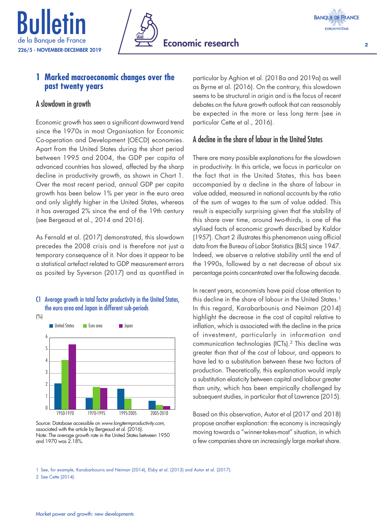





 $\overline{2}$ 

### **1 Marked macroeconomic changes over the past twenty years**

### A slowdown in growth

Economic growth has seen a significant downward trend since the 1970s in most Organisation for Economic Co-operation and Development (OECD) economies. Apart from the United States during the short period between 1995 and 2004, the GDP per capita of advanced countries has slowed, affected by the sharp decline in productivity growth, as shown in Chart 1. Over the most recent period, annual GDP per capita growth has been below 1% per year in the euro area and only slightly higher in the United States, whereas it has averaged 2% since the end of the 19th century (see Bergeaud et al., 2014 and 2016).

As Fernald et al. (2017) demonstrated, this slowdown precedes the 2008 crisis and is therefore not just a temporary consequence of it. Nor does it appear to be a statistical artefact related to GDP measurement errors as posited by Syverson (2017) and as quantified in



#### C1 Average growth in total factor productivity in the United States, the euro area and Japan in different sub-periods

Source: Database accessible on *[www.longtermproductivity.com](http://www.longtermproductivity.com)*, associated with the article by Bergeaud et al. (2016). Note: The average growth rate in the United States between 1950 and 1970 was 2.18%.

particular by Aghion et al. (2018a and 2019a) as well as Byrne et al. (2016). On the contrary, this slowdown seems to be structural in origin and is the focus of recent debates on the future growth outlook that can reasonably be expected in the more or less long term (see in particular Cette et al., 2016).

## A decline in the share of labour in the United States

There are many possible explanations for the slowdown in productivity. In this article, we focus in particular on the fact that in the United States, this has been accompanied by a decline in the share of labour in value added, measured in national accounts by the ratio of the sum of wages to the sum of value added. This result is especially surprising given that the stability of this share over time, around two-thirds, is one of the stylised facts of economic growth described by Kaldor (1957). Chart 2 illustrates this phenomenon using official data from the Bureau of Labor Statistics (BLS) since 1947. Indeed, we observe a relative stability until the end of the 1990s, followed by a net decrease of about six percentage points concentrated over the following decade.

In recent years, economists have paid close attention to this decline in the share of labour in the United States.<sup>1</sup> In this regard, Karabarbounis and Neiman (2014) highlight the decrease in the cost of capital relative to inflation, which is associated with the decline in the price of investment, particularly in information and communication technologies (ICTs).2 This decline was greater than that of the cost of labour, and appears to have led to a substitution between these two factors of production. Theoretically, this explanation would imply a substitution elasticity between capital and labour greater than unity, which has been empirically challenged by subsequent studies, in particular that of Lawrence (2015).

Based on this observation, Autor et al (2017 and 2018) propose another explanation: the economy is increasingly moving towards a "winner-takes-most" situation, in which a few companies share an increasingly large market share.

1 See, for example, Karabarbounis and Neiman (2014), Elsby et al. (2013) and Autor et al. (2017): 2 See Cette (2014).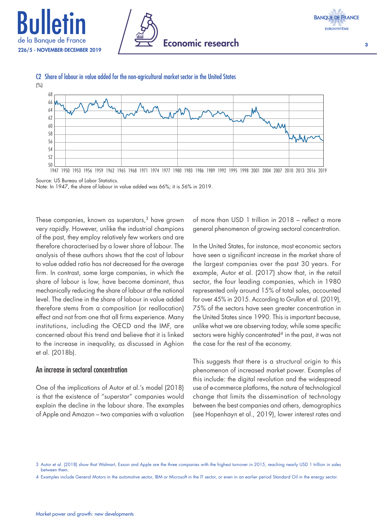







C2 Share of labour in value added for the non-agricultural market sector in the United States

Source: US Bureau of Labor Statistics. Note: In 1947, the share of labour in value added was 66%; it is 56% in 2019.

These companies, known as superstars,<sup>3</sup> have grown very rapidly. However, unlike the industrial champions of the past, they employ relatively few workers and are therefore characterised by a lower share of labour. The analysis of these authors shows that the cost of labour to value added ratio has not decreased for the average firm. In contrast, some large companies, in which the share of labour is low, have become dominant, thus mechanically reducing the share of labour at the national level. The decline in the share of labour in value added therefore stems from a composition (or reallocation) effect and not from one that all firms experience. Many institutions, including the OECD and the IMF, are concerned about this trend and believe that it is linked to the increase in inequality, as discussed in Aghion et al. (2018b).

#### An increase in sectoral concentration

One of the implications of Autor et al.'s model (2018) is that the existence of "superstar" companies would explain the decline in the labour share. The examples of Apple and Amazon – two companies with a valuation

of more than USD 1 trillion in 2018 – reflect a more general phenomenon of growing sectoral concentration.

In the United States, for instance, most economic sectors have seen a significant increase in the market share of the largest companies over the past 30 years. For example, Autor et al. (2017) show that, in the retail sector, the four leading companies, which in 1980 represented only around 15% of total sales, accounted for over 45% in 2015. According to Grullon et al. (2019), 75% of the sectors have seen greater concentration in the United States since 1990. This is important because, unlike what we are observing today, while some specific sectors were highly concentrated<sup>4</sup> in the past, it was not the case for the rest of the economy.

This suggests that there is a structural origin to this phenomenon of increased market power. Examples of this include: the digital revolution and the widespread use of e-commerce platforms, the nature of technological change that limits the dissemination of technology between the best companies and others, demographics (see Hopenhayn et al., 2019), lower interest rates and

<sup>3</sup> Autor et al. (2018) show that Walmart, Exxon and Apple are the three companies with the highest turnover in 2015, reaching nearly USD 1 trillion in sales between them.

<sup>4</sup> Examples include General Motors in the automotive sector, IBM or Microsoft in the IT sector, or even in an earlier period Standard Oil in the energy sector.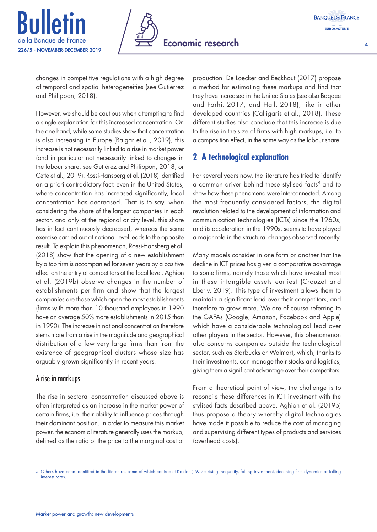





4

changes in competitive regulations with a high degree of temporal and spatial heterogeneities (see Gutiérrez and Philippon, 2018).

However, we should be cautious when attempting to find a single explanation for this increased concentration. On the one hand, while some studies show that concentration is also increasing in Europe (Bajgar et al., 2019), this increase is not necessarily linked to a rise in market power (and in particular not necessarily linked to changes in the labour share, see Gutiérez and Philippon, 2018, or Cette et al., 2019). Rossi-Hansberg et al. (2018) identified an a priori contradictory fact: even in the United States, where concentration has increased significantly, local concentration has decreased. That is to say, when considering the share of the largest companies in each sector, and only at the regional or city level, this share has in fact continuously decreased, whereas the same exercise carried out at national level leads to the opposite result. To explain this phenomenon, Rossi-Hansberg et al. (2018) show that the opening of a new establishment by a top firm is accompanied for seven years by a positive effect on the entry of competitors at the local level. Aghion et al. (2019b) observe changes in the number of establishments per firm and show that the largest companies are those which open the most establishments (firms with more than 10 thousand employees in 1990 have on average 50% more establishments in 2015 than in 1990). The increase in national concentration therefore stems more from a rise in the magnitude and geographical distribution of a few very large firms than from the existence of geographical clusters whose size has arguably grown significantly in recent years.

## A rise in markups

The rise in sectoral concentration discussed above is often interpreted as an increase in the market power of certain firms, i.e. their ability to influence prices through their dominant position. In order to measure this market power, the economic literature generally uses the markup, defined as the ratio of the price to the marginal cost of

production. De Loecker and Eeckhout (2017) propose a method for estimating these markups and find that they have increased in the United States (see also Baqaee and Farhi, 2017, and Hall, 2018), like in other developed countries (Calligaris et al., 2018). These different studies also conclude that this increase is due to the rise in the size of firms with high markups, i.e. to a composition effect, in the same way as the labour share.

## **2 A technological explanation**

For several years now, the literature has tried to identify a common driver behind these stylised facts<sup>5</sup> and to show how these phenomena were interconnected. Among the most frequently considered factors, the digital revolution related to the development of information and communication technologies (ICTs) since the 1960s, and its acceleration in the 1990s, seems to have played a major role in the structural changes observed recently.

Many models consider in one form or another that the decline in ICT prices has given a comparative advantage to some firms, namely those which have invested most in these intangible assets earliest (Crouzet and Eberly, 2019). This type of investment allows them to maintain a significant lead over their competitors, and therefore to grow more. We are of course referring to the GAFAs (Google, Amazon, Facebook and Apple) which have a considerable technological lead over other players in the sector. However, this phenomenon also concerns companies outside the technological sector, such as Starbucks or Walmart, which, thanks to their investments, can manage their stocks and logistics, giving them a significant advantage over their competitors.

From a theoretical point of view, the challenge is to reconcile these differences in ICT investment with the stylised facts described above. Aghion et al. (2019b) thus propose a theory whereby digital technologies have made it possible to reduce the cost of managing and supervising different types of products and services (overhead costs).

<sup>5</sup> Others have been identified in the literature, some of which contradict Kaldor (1957): rising inequality, falling investment, declining firm dynamics or falling interest rates.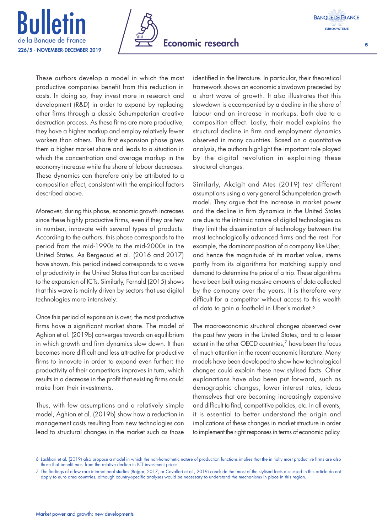





5

These authors develop a model in which the most productive companies benefit from this reduction in costs. In doing so, they invest more in research and development (R&D) in order to expand by replacing other firms through a classic Schumpeterian creative destruction process. As these firms are more productive, they have a higher markup and employ relatively fewer workers than others. This first expansion phase gives them a higher market share and leads to a situation in which the concentration and average markup in the economy increase while the share of labour decreases. These dynamics can therefore only be attributed to a composition effect, consistent with the empirical factors described above.

Moreover, during this phase, economic growth increases since these highly productive firms, even if they are few in number, innovate with several types of products. According to the authors, this phase corresponds to the period from the mid-1990s to the mid-2000s in the United States. As Bergeaud et al. (2016 and 2017) have shown, this period indeed corresponds to a wave of productivity in the United States that can be ascribed to the expansion of ICTs. Similarly, Fernald (2015) shows that this wave is mainly driven by sectors that use digital technologies more intensively.

Once this period of expansion is over, the most productive firms have a significant market share. The model of Aghion et al. (2019b) converges towards an equilibrium in which growth and firm dynamics slow down. It then becomes more difficult and less attractive for productive firms to innovate in order to expand even further: the productivity of their competitors improves in turn, which results in a decrease in the profit that existing firms could make from their investments.

Thus, with few assumptions and a relatively simple model, Aghion et al. (2019b) show how a reduction in management costs resulting from new technologies can lead to structural changes in the market such as those

identified in the literature. In particular, their theoretical framework shows an economic slowdown preceded by a short wave of growth. It also illustrates that this slowdown is accompanied by a decline in the share of labour and an increase in markups, both due to a composition effect. Lastly, their model explains the structural decline in firm and employment dynamics observed in many countries. Based on a quantitative analysis, the authors highlight the important role played by the digital revolution in explaining these structural changes.

Similarly, Akcigit and Ates (2019) test different assumptions using a very general Schumpeterian growth model. They argue that the increase in market power and the decline in firm dynamics in the United States are due to the intrinsic nature of digital technologies as they limit the dissemination of technology between the most technologically advanced firms and the rest. For example, the dominant position of a company like Uber, and hence the magnitude of its market value, stems partly from its algorithms for matching supply and demand to determine the price of a trip. These algorithms have been built using massive amounts of data collected by the company over the years. It is therefore very difficult for a competitor without access to this wealth of data to gain a foothold in Uber's market.<sup>6</sup>

The macroeconomic structural changes observed over the past few years in the United States, and to a lesser extent in the other OECD countries,<sup>7</sup> have been the focus of much attention in the recent economic literature. Many models have been developed to show how technological changes could explain these new stylised facts. Other explanations have also been put forward, such as demographic changes, lower interest rates, ideas themselves that are becoming increasingly expensive and difficult to find, competitive policies, etc. In all events, it is essential to better understand the origin and implications of these changes in market structure in order to implement the right responses in terms of economic policy.

<sup>6</sup> Lashkari et al. (2019) also propose a model in which the non-homothetic nature of production functions implies that the initially most productive firms are also those that benefit most from the relative decline in ICT investment prices.

<sup>7</sup> The findings of a few rare international studies (Bajgar, 2017, or Cavalleri et al., 2019) conclude that most of the stylised facts discussed in this article do not apply to euro area countries, although country-specific analyses would be necessary to understand the mechanisms in place in this region.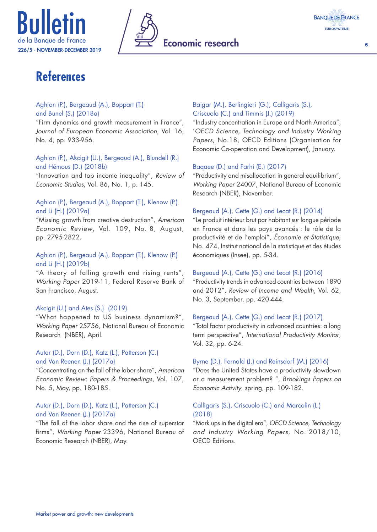



6

# **References**

#### Aghion (P.), Bergeaud (A.), Boppart (T.) and Bunel (S.) (2018a)

"Firm dynamics and growth measurement in France", *Journal of European Economic Association*, Vol. 16, No. 4, pp. 933-956.

Aghion (P.), Akcigit (U.), Bergeaud (A.), Blundell (R.) and Hémous (D.) (2018b)

"Innovation and top income inequality", *Review of Economic Studies*, Vol. 86, No. 1, p. 145.

#### Aghion (P.), Bergeaud (A.), Boppart (T.), Klenow (P.) and Li (H.) (2019a)

"Missing growth from creative destruction", *American Economic Review*, Vol. 109, No. 8, August, pp. 2795-2822.

#### Aghion (P.), Bergeaud (A.), Boppart (T.), Klenow (P.) and Li (H.) (2019b)

"A theory of falling growth and rising rents", *Working Paper* 2019-11, Federal Reserve Bank of San Francisco, August.

#### Akcigit (U.) and Ates (S.) (2019)

"What happened to US business dynamism?", *Working Paper* 25756, National Bureau of Economic Research (NBER), April.

#### Autor (D.), Dorn (D.), Katz (L.), Patterson (C.) and Van Reenen (J.) (2017a)

"Concentrating on the fall of the labor share", *American Economic Review: Papers & Proceedings*, Vol. 107, No. 5, May, pp. 180-185.

#### Autor (D.), Dorn (D.), Katz (L.), Patterson (C.) and Van Reenen (J.) (2017a)

"The fall of the labor share and the rise of superstar firms", *Working Paper* 23396, National Bureau of Economic Research (NBER), May.

#### Bajgar (M.), Berlingieri (G.), Calligaris (S.), Criscuolo (C.) and Timmis (J.) (2019)

"Industry concentration in Europe and North America", '*OECD Science, Technology and Industry Working Papers*, No.18, OECD Editions (Organisation for Economic Co-operation and Development), January.

#### Baqaee (D.) and Farhi (E.) (2017)

"Productivity and misallocation in general equilibrium", *Working Paper* 24007, National Bureau of Economic Research (NBER), November.

#### Bergeaud (A.), Cette (G.) and Lecat (R.) (2014)

"Le produit intérieur brut par habitant sur longue période en France et dans les pays avancés : le rôle de la productivité et de l'emploi", *Économie et Statistique*, No. 474, Institut national de la statistique et des études économiques (Insee), pp. 5-34.

#### Bergeaud (A.), Cette (G.) and Lecat (R.) (2016)

"Productivity trends in advanced countries between 1890 and 2012", *Review of Income and Wealth*, Vol. 62, No. 3, September, pp. 420-444.

#### Bergeaud (A.), Cette (G.) and Lecat (R.) (2017)

"Total factor productivity in advanced countries: a long term perspective", *International Productivity Monitor*, Vol. 32, pp. 6-24.

#### Byrne (D.), Fernald (J.) and Reinsdorf (M.) (2016)

"Does the United States have a productivity slowdown or a measurement problem? ", *Brookings Papers on Economic Activity*, spring, pp. 109-182.

#### Calligaris (S.), Criscuolo (C.) and Marcolin (L.) (2018)

"Mark ups in the digital era", *OECD Science, Technology and Industry Working Papers*, No. 2018/10, OECD Editions.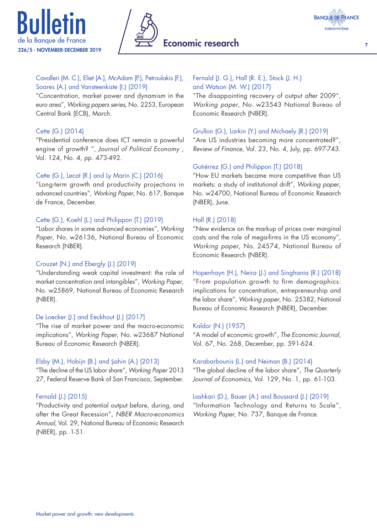





#### Cavalleri (M. C.), Eliet (A.), McAdam (P.), Petroulakis (F.), Soares (A.) and Vansteenkiste (I.) (2019)

"Concentration, market power and dynamism in the euro area", *Working papers series*, No. 2253, European Central Bank (ECB), March.

#### Cette (G.) (2014)

"Presidential conference does ICT remain a powerful engine of growth? ", *Journal of Political Economy* , Vol. 124, No. 4, pp. 473-492.

#### Cette (G.), Lecat (R.) and Ly Marin (C.) (2016)

"Long-term growth and productivity projections in advanced countries", *Working Paper*, No. 617, Banque de France, December.

#### Cette (G.), Koehl (L.) and Philippon (T.) (2019)

"Labor shares in some advanced economies", *Working Paper*, No. w26136, National Bureau of Economic Research (NBER).

#### Crouzet (N.) and Ebergly (J.) (2019)

"Understanding weak capital investment: the role of market concentration and intangibles", *Working Paper*, No. w25869, National Bureau of Economic Research (NBER).

#### De Loecker (J.) and Eeckhout (J.) (2017)

"The rise of market power and the macro-economic implications", *Working Paper*, No. w23687 National Bureau of Economic Research (NBER).

#### Elsby (M.), Hobijn (B.) and Şahin (A.) (2013)

"The decline of the US labor share", *Working Paper* 2013 27, Federal Reserve Bank of San Francisco, September.

#### Fernald (J.) (2015)

"Productivity and potential output before, during, and after the Great Recession", *NBER Macro-economics Annual*, Vol. 29, National Bureau of Economic Research (NBER), pp. 1-51.

## Fernald (J. G.), Hall (R. E.), Stock (J. H.)

and Watson (M. W.) (2017)

"The disappointing recovery of output after 2009", *Working paper*, No. w23543 National Bureau of Economic Research (NBER).

#### Grullon (G.), Larkin (Y.) and Michaely (R.) (2019)

"Are US industries becoming more concentrated?", *Review of Finance*, Vol. 23, No. 4, July, pp. 697-743.

#### Gutiérrez (G.) and Philippon (T.) (2018)

"How EU markets became more competitive than US markets: a study of institutional drift", *Working paper*, No. w24700, National Bureau of Economic Research (NBER), June.

#### Hall (R.) (2018)

"New evidence on the markup of prices over marginal costs and the role of mega-firms in the US economy", *Working paper*, No. 24574, National Bureau of Economic Research (NBER).

Hopenhayn (H.), Neira (J.) and Singhania (R.) (2018)

"From population growth to firm demographics: implications for concentration, entrepreneurship and the labor share", *Working paper*, No. 25382, National Bureau of Economic Research (NBER), December.

#### Kaldor (N.) (1957)

"A model of economic growth", *The Economic Journal*, Vol. 67, No. 268, December, pp. 591-624.

#### Karabarbounis (L.) and Neiman (B.) (2014)

"The global decline of the labor share", *The Quarterly Journal of Economics*, Vol. 129, No. 1, pp. 61-103.

#### Lashkari (D.), Bauer (A.) and Boussard (J.) (2019)

"Information Technology and Returns to Scale", *Working Paper*, No. 737, Banque de France.

7